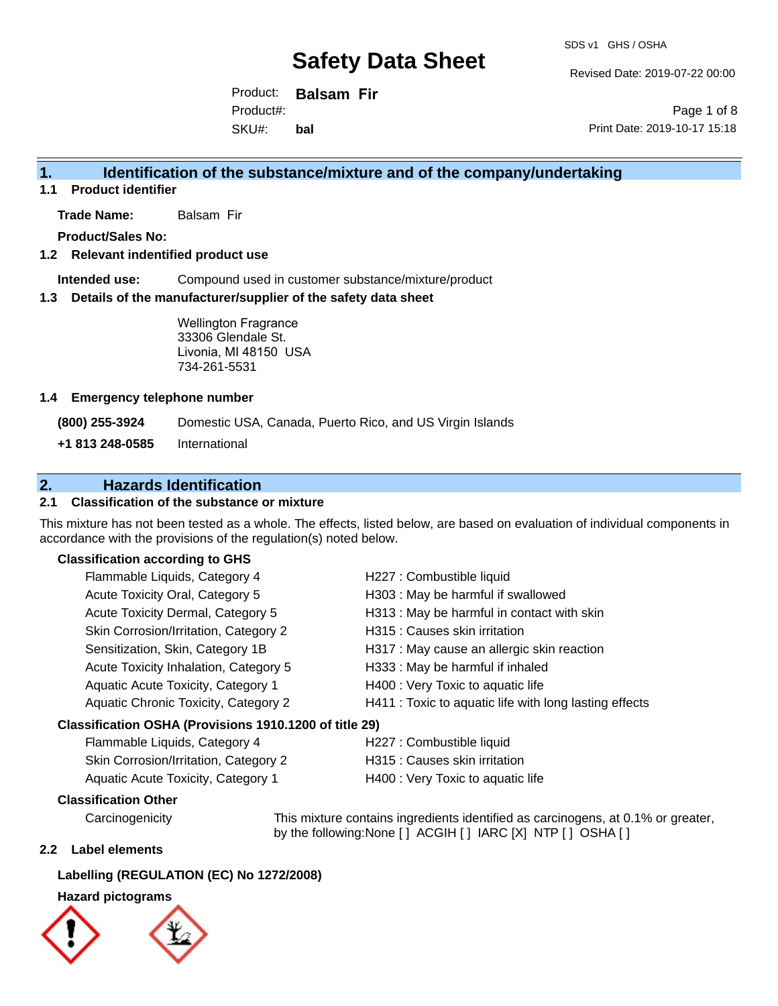Revised Date: 2019-07-22 00:00

Product: **Balsam Fir** SKU#: Product#: **bal**

Page 1 of 8 Print Date: 2019-10-17 15:18

# **1. Identification of the substance/mixture and of the company/undertaking**

**1.1 Product identifier**

**Trade Name:** Balsam Fir

**Product/Sales No:**

### **1.2 Relevant indentified product use**

**Intended use:** Compound used in customer substance/mixture/product

### **1.3 Details of the manufacturer/supplier of the safety data sheet**

Wellington Fragrance 33306 Glendale St. Livonia, MI 48150 USA 734-261-5531

### **1.4 Emergency telephone number**

**(800) 255-3924** Domestic USA, Canada, Puerto Rico, and US Virgin Islands

**+1 813 248-0585** International

# **2. Hazards Identification**

# **2.1 Classification of the substance or mixture**

This mixture has not been tested as a whole. The effects, listed below, are based on evaluation of individual components in accordance with the provisions of the regulation(s) noted below.

### **Classification according to GHS**

| Flammable Liquids, Category 4                          | H227 : Combustible liquid                              |  |
|--------------------------------------------------------|--------------------------------------------------------|--|
| Acute Toxicity Oral, Category 5                        | H303 : May be harmful if swallowed                     |  |
| Acute Toxicity Dermal, Category 5                      | H313 : May be harmful in contact with skin             |  |
| Skin Corrosion/Irritation, Category 2                  | H315 : Causes skin irritation                          |  |
| Sensitization, Skin, Category 1B                       | H317 : May cause an allergic skin reaction             |  |
| Acute Toxicity Inhalation, Category 5                  | H333: May be harmful if inhaled                        |  |
| Aquatic Acute Toxicity, Category 1                     | H400 : Very Toxic to aquatic life                      |  |
| Aquatic Chronic Toxicity, Category 2                   | H411 : Toxic to aquatic life with long lasting effects |  |
| Classification OSHA (Provisions 1910.1200 of title 29) |                                                        |  |

| Flammable Liquids, Category 4         | H227 : Combustible liquid         |
|---------------------------------------|-----------------------------------|
| Skin Corrosion/Irritation, Category 2 | H315 : Causes skin irritation     |
| Aquatic Acute Toxicity, Category 1    | H400 : Very Toxic to aquatic life |

### **Classification Other**

Carcinogenicity This mixture contains ingredients identified as carcinogens, at 0.1% or greater, by the following:None [ ] ACGIH [ ] IARC [X] NTP [ ] OSHA [ ]

### **2.2 Label elements**

### **Labelling (REGULATION (EC) No 1272/2008)**

### **Hazard pictograms**



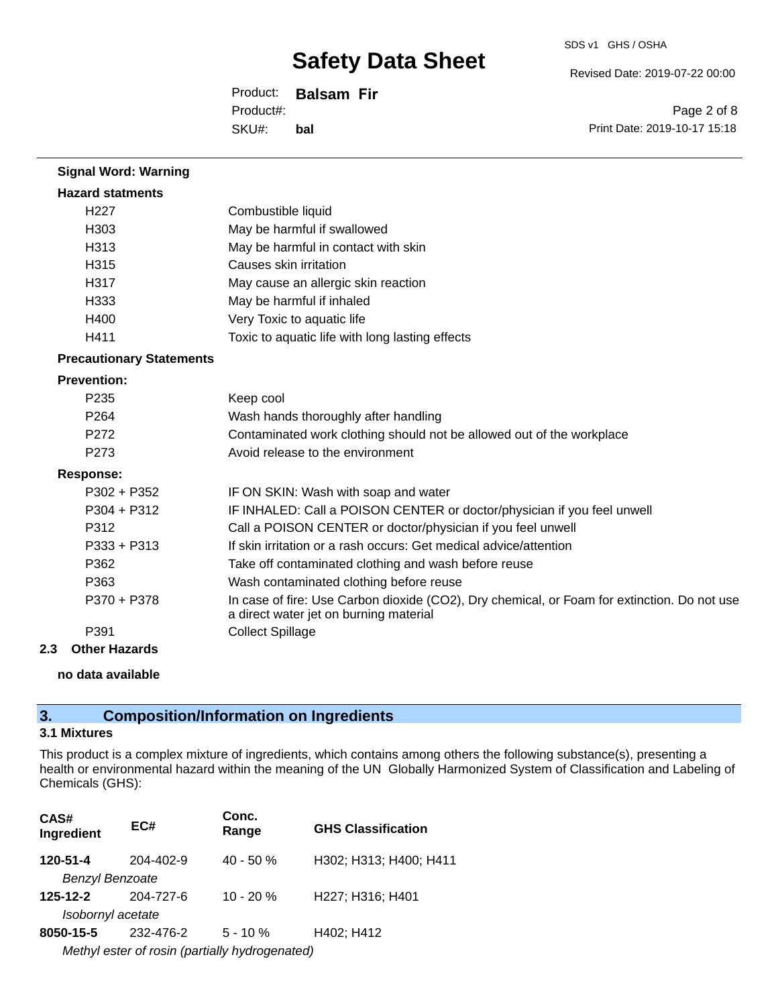Revised Date: 2019-07-22 00:00

Product: **Balsam Fir** SKU#: Product#: **bal**

Page 2 of 8 Print Date: 2019-10-17 15:18

| <b>Signal Word: Warning</b>     |                                                                                                                                       |
|---------------------------------|---------------------------------------------------------------------------------------------------------------------------------------|
| <b>Hazard statments</b>         |                                                                                                                                       |
| H <sub>227</sub>                | Combustible liquid                                                                                                                    |
| H <sub>303</sub>                | May be harmful if swallowed                                                                                                           |
| H313                            | May be harmful in contact with skin                                                                                                   |
| H315                            | Causes skin irritation                                                                                                                |
| H317                            | May cause an allergic skin reaction                                                                                                   |
| H333                            | May be harmful if inhaled                                                                                                             |
| H400                            | Very Toxic to aquatic life                                                                                                            |
| H411                            | Toxic to aquatic life with long lasting effects                                                                                       |
| <b>Precautionary Statements</b> |                                                                                                                                       |
| <b>Prevention:</b>              |                                                                                                                                       |
| P235                            | Keep cool                                                                                                                             |
| P <sub>264</sub>                | Wash hands thoroughly after handling                                                                                                  |
| P272                            | Contaminated work clothing should not be allowed out of the workplace                                                                 |
| P273                            | Avoid release to the environment                                                                                                      |
| <b>Response:</b>                |                                                                                                                                       |
| P302 + P352                     | IF ON SKIN: Wash with soap and water                                                                                                  |
| $P304 + P312$                   | IF INHALED: Call a POISON CENTER or doctor/physician if you feel unwell                                                               |
| P312                            | Call a POISON CENTER or doctor/physician if you feel unwell                                                                           |
| P333 + P313                     | If skin irritation or a rash occurs: Get medical advice/attention                                                                     |
| P362                            | Take off contaminated clothing and wash before reuse                                                                                  |
| P363                            | Wash contaminated clothing before reuse                                                                                               |
| P370 + P378                     | In case of fire: Use Carbon dioxide (CO2), Dry chemical, or Foam for extinction. Do not use<br>a direct water jet on burning material |
| P391                            | <b>Collect Spillage</b>                                                                                                               |
| <b>Other Hazards</b><br>2.3     |                                                                                                                                       |

### **no data available**

# **3. Composition/Information on Ingredients**

### **3.1 Mixtures**

This product is a complex mixture of ingredients, which contains among others the following substance(s), presenting a health or environmental hazard within the meaning of the UN Globally Harmonized System of Classification and Labeling of Chemicals (GHS):

| CAS#<br>Ingredient                             | EC#       | Conc.<br>Range | <b>GHS Classification</b> |  |
|------------------------------------------------|-----------|----------------|---------------------------|--|
| 120-51-4                                       | 204-402-9 | $40 - 50 \%$   | H302; H313; H400; H411    |  |
| <b>Benzyl Benzoate</b>                         |           |                |                           |  |
| $125 - 12 - 2$                                 | 204-727-6 | $10 - 20 %$    | H227; H316; H401          |  |
| Isobornyl acetate                              |           |                |                           |  |
| 8050-15-5                                      | 232-476-2 | $5 - 10 \%$    | H402; H412                |  |
| Methyl ester of rosin (partially hydrogenated) |           |                |                           |  |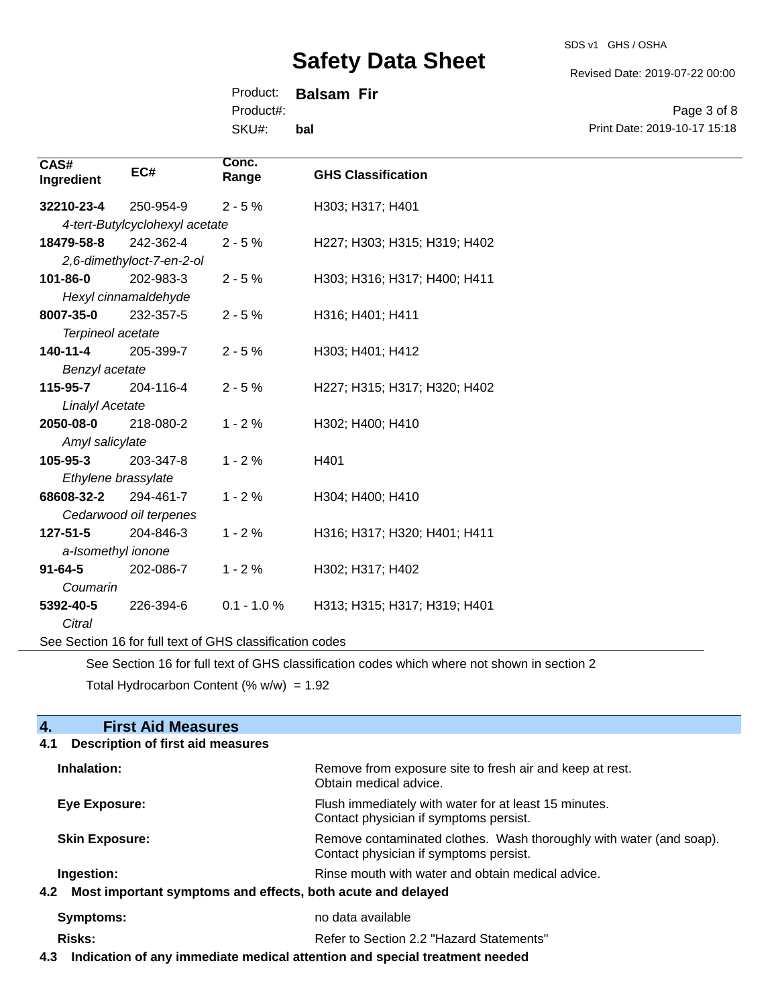SDS v1 GHS / OSHA

Revised Date: 2019-07-22 00:00

Print Date: 2019-10-17 15:18

Page 3 of 8

Product: **Balsam Fir**

Product#:

SKU#: **bal**

| CAS#<br>Ingredient                                       | EC#                            | Conc.<br>Range | <b>GHS Classification</b>    |
|----------------------------------------------------------|--------------------------------|----------------|------------------------------|
| 32210-23-4                                               | 250-954-9                      | $2 - 5%$       | H303; H317; H401             |
|                                                          | 4-tert-Butylcyclohexyl acetate |                |                              |
| 18479-58-8                                               | 242-362-4                      | $2 - 5%$       | H227; H303; H315; H319; H402 |
|                                                          | 2,6-dimethyloct-7-en-2-ol      |                |                              |
| 101-86-0                                                 | 202-983-3                      | $2 - 5%$       | H303; H316; H317; H400; H411 |
|                                                          | Hexyl cinnamaldehyde           |                |                              |
| 8007-35-0                                                | 232-357-5                      | $2 - 5%$       | H316; H401; H411             |
| Terpineol acetate                                        |                                |                |                              |
| 140-11-4                                                 | 205-399-7                      | $2 - 5%$       | H303; H401; H412             |
| Benzyl acetate                                           |                                |                |                              |
| 115-95-7                                                 | 204-116-4                      | $2 - 5%$       | H227; H315; H317; H320; H402 |
| <b>Linalyl Acetate</b>                                   |                                |                |                              |
| 2050-08-0                                                | 218-080-2                      | $1 - 2%$       | H302; H400; H410             |
| Amyl salicylate                                          |                                |                |                              |
| $105 - 95 - 3$                                           | 203-347-8                      | $1 - 2%$       | H401                         |
| Ethylene brassylate                                      |                                |                |                              |
| 68608-32-2                                               | 294-461-7                      | $1 - 2%$       | H304; H400; H410             |
| Cedarwood oil terpenes                                   |                                |                |                              |
| 127-51-5                                                 | 204-846-3                      | $1 - 2%$       | H316; H317; H320; H401; H411 |
| a-Isomethyl ionone                                       |                                |                |                              |
| $91 - 64 - 5$                                            | 202-086-7                      | $1 - 2%$       | H302; H317; H402             |
| Coumarin                                                 |                                |                |                              |
| 5392-40-5                                                | 226-394-6                      | $0.1 - 1.0 %$  | H313; H315; H317; H319; H401 |
| Citral                                                   |                                |                |                              |
| See Section 16 for full text of GHS classification codes |                                |                |                              |

See Section 16 for full text of GHS classification codes which where not shown in section 2

Total Hydrocarbon Content (%  $w/w$ ) = 1.92

# **4. First Aid Measures**

# **4.1 Description of first aid measures Inhalation:** Remove from exposure site to fresh air and keep at rest. Obtain medical advice. **Eye Exposure:** Flush immediately with water for at least 15 minutes. Contact physician if symptoms persist. **Skin Exposure: Remove contaminated clothes. Wash thoroughly with water (and soap).** Remove contaminated clothes. Wash thoroughly with water (and soap). Contact physician if symptoms persist. **Ingestion: Rinse mouth with water and obtain medical advice. Rinse mouth with water and obtain medical advice. 4.2 Most important symptoms and effects, both acute and delayed Symptoms:** no data available **Risks:** Risks: Refer to Section 2.2 "Hazard Statements"

**4.3 Indication of any immediate medical attention and special treatment needed**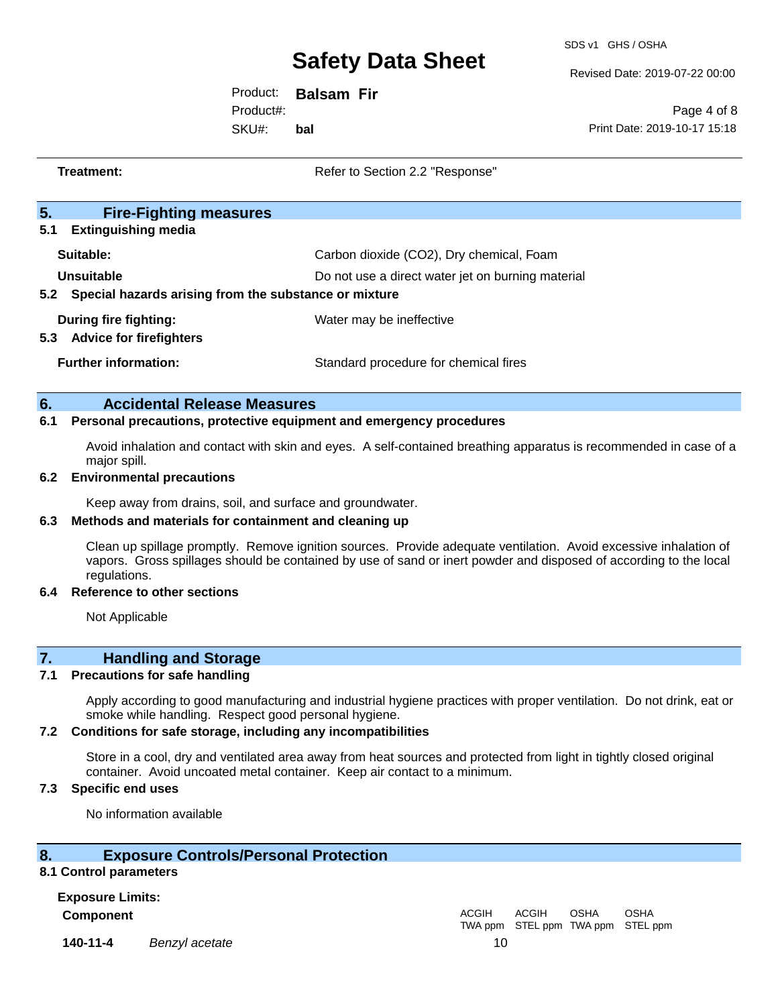SDS v1 GHS / OSHA

Revised Date: 2019-07-22 00:00

Product: **Balsam Fir** Product#:

SKU#: **bal**

Page 4 of 8 Print Date: 2019-10-17 15:18

| Treatment:                                                                 | Refer to Section 2.2 "Response"                                     |
|----------------------------------------------------------------------------|---------------------------------------------------------------------|
| 5.<br><b>Fire-Fighting measures</b>                                        |                                                                     |
| 5.1<br><b>Extinguishing media</b><br>Suitable:                             | Carbon dioxide (CO2), Dry chemical, Foam                            |
| Unsuitable<br>Special hazards arising from the substance or mixture<br>5.2 | Do not use a direct water jet on burning material                   |
| During fire fighting:<br>5.3<br><b>Advice for firefighters</b>             | Water may be ineffective                                            |
| <b>Further information:</b>                                                | Standard procedure for chemical fires                               |
| 6.<br><b>Accidental Release Measures</b><br>6.1                            | Personal precautions, protective equipment and emergency procedures |

Avoid inhalation and contact with skin and eyes. A self-contained breathing apparatus is recommended in case of a major spill.

### **6.2 Environmental precautions**

Keep away from drains, soil, and surface and groundwater.

### **6.3 Methods and materials for containment and cleaning up**

Clean up spillage promptly. Remove ignition sources. Provide adequate ventilation. Avoid excessive inhalation of vapors. Gross spillages should be contained by use of sand or inert powder and disposed of according to the local regulations.

### **6.4 Reference to other sections**

Not Applicable

# **7. Handling and Storage**

### **7.1 Precautions for safe handling**

Apply according to good manufacturing and industrial hygiene practices with proper ventilation. Do not drink, eat or smoke while handling. Respect good personal hygiene.

### **7.2 Conditions for safe storage, including any incompatibilities**

Store in a cool, dry and ventilated area away from heat sources and protected from light in tightly closed original container. Avoid uncoated metal container. Keep air contact to a minimum.

# **7.3 Specific end uses**

No information available

# **8. Exposure Controls/Personal Protection**

### **8.1 Control parameters**

**Exposure Limits: Component** ACGIH

**140-11-4** *Benzyl acetate* 10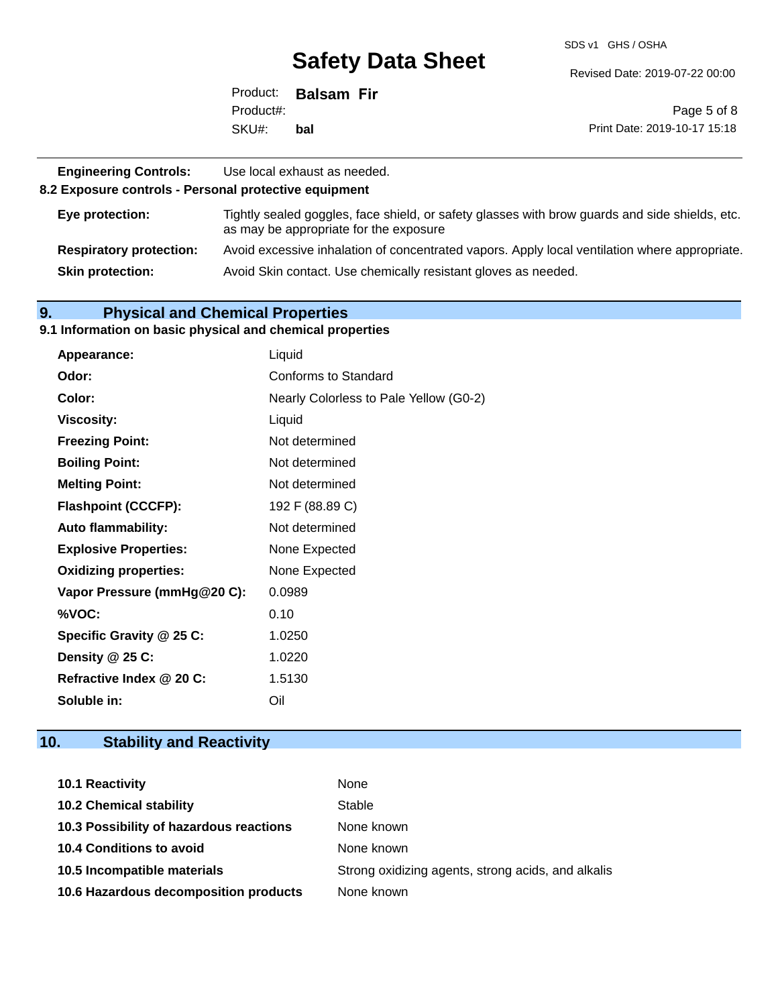SDS v1 GHS / OSHA

Revised Date: 2019-07-22 00:00

|           | Product: Balsam Fir |                              |
|-----------|---------------------|------------------------------|
| Product#: |                     | Page 5 of 8                  |
| SKU#:     | bal                 | Print Date: 2019-10-17 15:18 |

| <b>Engineering Controls:</b><br>8.2 Exposure controls - Personal protective equipment | Use local exhaust as needed.                                                                                                             |
|---------------------------------------------------------------------------------------|------------------------------------------------------------------------------------------------------------------------------------------|
| Eye protection:                                                                       | Tightly sealed goggles, face shield, or safety glasses with brow guards and side shields, etc.<br>as may be appropriate for the exposure |
| <b>Respiratory protection:</b>                                                        | Avoid excessive inhalation of concentrated vapors. Apply local ventilation where appropriate.                                            |
| <b>Skin protection:</b>                                                               | Avoid Skin contact. Use chemically resistant gloves as needed.                                                                           |

# **9. Physical and Chemical Properties**

#### **9.1 Information on basic physical and chemical properties**

| Appearance:                  | Liquid                                 |
|------------------------------|----------------------------------------|
| Odor:                        | Conforms to Standard                   |
| Color:                       | Nearly Colorless to Pale Yellow (G0-2) |
| <b>Viscosity:</b>            | Liquid                                 |
| <b>Freezing Point:</b>       | Not determined                         |
| <b>Boiling Point:</b>        | Not determined                         |
| <b>Melting Point:</b>        | Not determined                         |
| <b>Flashpoint (CCCFP):</b>   | 192 F (88.89 C)                        |
| <b>Auto flammability:</b>    | Not determined                         |
| <b>Explosive Properties:</b> | None Expected                          |
| <b>Oxidizing properties:</b> | None Expected                          |
| Vapor Pressure (mmHg@20 C):  | 0.0989                                 |
| %VOC:                        | 0.10                                   |
| Specific Gravity @ 25 C:     | 1.0250                                 |
| Density @ 25 C:              | 1.0220                                 |
| Refractive Index @ 20 C:     | 1.5130                                 |
| Soluble in:                  | Oil                                    |

# **10. Stability and Reactivity**

| <b>10.1 Reactivity</b>                  | None                                               |
|-----------------------------------------|----------------------------------------------------|
| <b>10.2 Chemical stability</b>          | Stable                                             |
| 10.3 Possibility of hazardous reactions | None known                                         |
| <b>10.4 Conditions to avoid</b>         | None known                                         |
| 10.5 Incompatible materials             | Strong oxidizing agents, strong acids, and alkalis |
| 10.6 Hazardous decomposition products   | None known                                         |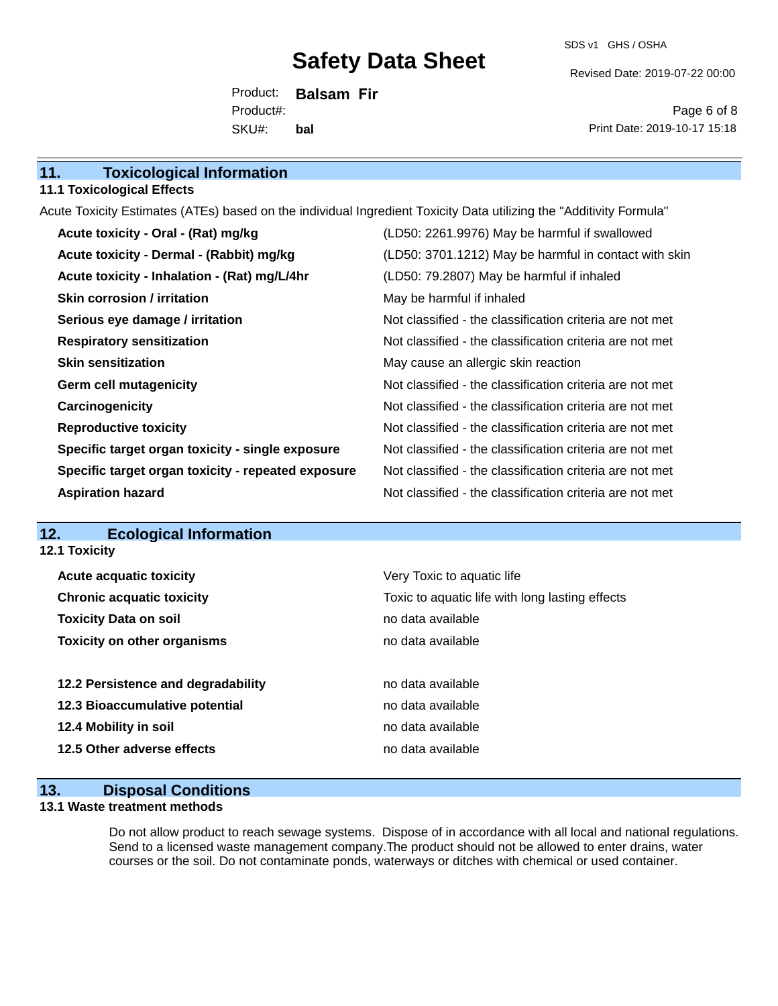SDS v1 GHS / OSHA

Revised Date: 2019-07-22 00:00

Product: **Balsam Fir** SKU#: Product#: **bal**

Page 6 of 8 Print Date: 2019-10-17 15:18

| 11.<br><b>Toxicological Information</b> |  |
|-----------------------------------------|--|
|-----------------------------------------|--|

### **11.1 Toxicological Effects**

Acute Toxicity Estimates (ATEs) based on the individual Ingredient Toxicity Data utilizing the "Additivity Formula"

| Acute toxicity - Oral - (Rat) mg/kg                | (LD50: 2261.9976) May be harmful if swallowed            |
|----------------------------------------------------|----------------------------------------------------------|
| Acute toxicity - Dermal - (Rabbit) mg/kg           | (LD50: 3701.1212) May be harmful in contact with skin    |
| Acute toxicity - Inhalation - (Rat) mg/L/4hr       | (LD50: 79.2807) May be harmful if inhaled                |
| <b>Skin corrosion / irritation</b>                 | May be harmful if inhaled                                |
| Serious eye damage / irritation                    | Not classified - the classification criteria are not met |
| <b>Respiratory sensitization</b>                   | Not classified - the classification criteria are not met |
| <b>Skin sensitization</b>                          | May cause an allergic skin reaction                      |
| <b>Germ cell mutagenicity</b>                      | Not classified - the classification criteria are not met |
| Carcinogenicity                                    | Not classified - the classification criteria are not met |
| <b>Reproductive toxicity</b>                       | Not classified - the classification criteria are not met |
| Specific target organ toxicity - single exposure   | Not classified - the classification criteria are not met |
| Specific target organ toxicity - repeated exposure | Not classified - the classification criteria are not met |
| <b>Aspiration hazard</b>                           | Not classified - the classification criteria are not met |

# **12. Ecological Information**

**12.1 Toxicity**

| <b>Acute acquatic toxicity</b>     | Very Toxic to aquatic life                      |  |  |
|------------------------------------|-------------------------------------------------|--|--|
| <b>Chronic acquatic toxicity</b>   | Toxic to aquatic life with long lasting effects |  |  |
| <b>Toxicity Data on soil</b>       | no data available                               |  |  |
| <b>Toxicity on other organisms</b> | no data available                               |  |  |
|                                    |                                                 |  |  |
|                                    |                                                 |  |  |
| 12.2 Persistence and degradability | no data available                               |  |  |
| 12.3 Bioaccumulative potential     | no data available                               |  |  |
| 12.4 Mobility in soil              | no data available                               |  |  |
| 12.5 Other adverse effects         | no data available                               |  |  |

# **13. Disposal Conditions**

### **13.1 Waste treatment methods**

Do not allow product to reach sewage systems. Dispose of in accordance with all local and national regulations. Send to a licensed waste management company.The product should not be allowed to enter drains, water courses or the soil. Do not contaminate ponds, waterways or ditches with chemical or used container.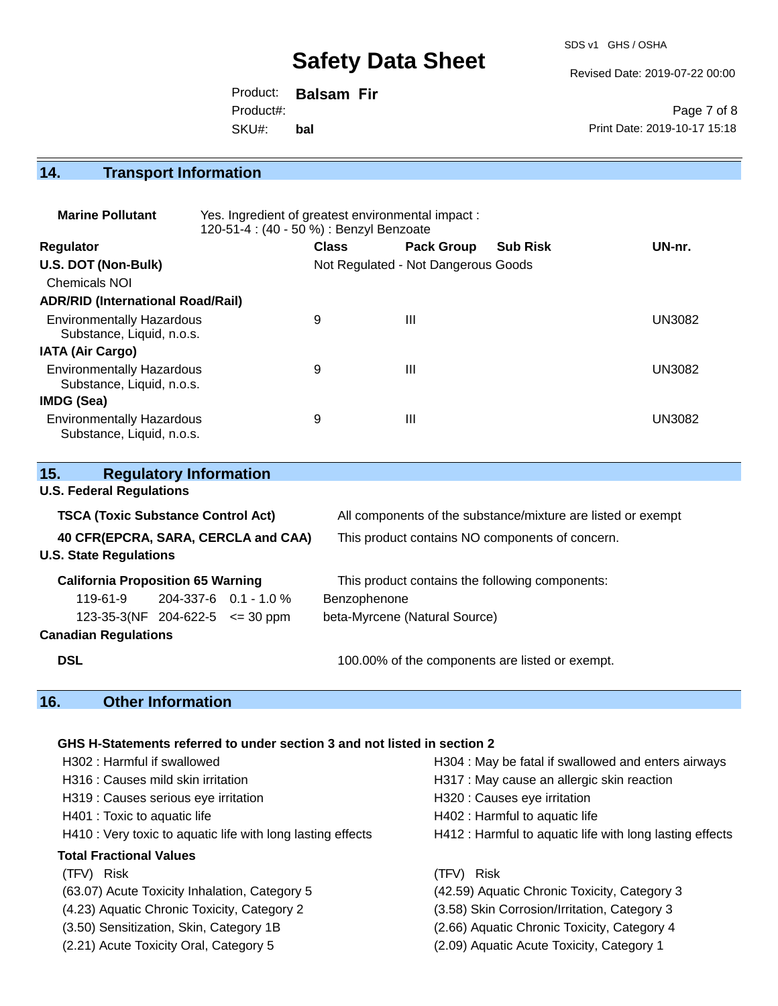SDS v1 GHS / OSHA

Revised Date: 2019-07-22 00:00

|           | Product: <b>Balsam Fir</b> |                              |
|-----------|----------------------------|------------------------------|
| Product#: |                            | Page 7 of 8                  |
| SKU#:     | bal                        | Print Date: 2019-10-17 15:18 |

# **14. Transport Information**

| <b>Marine Pollutant</b>                                       | Yes. Ingredient of greatest environmental impact:<br>120-51-4 : (40 - 50 %) : Benzyl Benzoate |                                     |                   |                 |               |
|---------------------------------------------------------------|-----------------------------------------------------------------------------------------------|-------------------------------------|-------------------|-----------------|---------------|
| <b>Regulator</b>                                              |                                                                                               | <b>Class</b>                        | <b>Pack Group</b> | <b>Sub Risk</b> | UN-nr.        |
| U.S. DOT (Non-Bulk)                                           |                                                                                               | Not Regulated - Not Dangerous Goods |                   |                 |               |
| <b>Chemicals NOI</b>                                          |                                                                                               |                                     |                   |                 |               |
| <b>ADR/RID (International Road/Rail)</b>                      |                                                                                               |                                     |                   |                 |               |
| <b>Environmentally Hazardous</b><br>Substance, Liquid, n.o.s. |                                                                                               | 9                                   | Ш                 |                 | UN3082        |
| <b>IATA (Air Cargo)</b>                                       |                                                                                               |                                     |                   |                 |               |
| <b>Environmentally Hazardous</b><br>Substance, Liquid, n.o.s. |                                                                                               | 9                                   | Ш                 |                 | <b>UN3082</b> |
| IMDG (Sea)                                                    |                                                                                               |                                     |                   |                 |               |
| <b>Environmentally Hazardous</b><br>Substance, Liquid, n.o.s. |                                                                                               | 9                                   | Ш                 |                 | UN3082        |

| 15.                                                                              | <b>Regulatory Information</b> |  |                                                                                                                 |  |
|----------------------------------------------------------------------------------|-------------------------------|--|-----------------------------------------------------------------------------------------------------------------|--|
| <b>U.S. Federal Regulations</b>                                                  |                               |  |                                                                                                                 |  |
| <b>TSCA (Toxic Substance Control Act)</b><br>40 CFR(EPCRA, SARA, CERCLA and CAA) |                               |  | All components of the substance/mixture are listed or exempt<br>This product contains NO components of concern. |  |
|                                                                                  |                               |  |                                                                                                                 |  |
| <b>California Proposition 65 Warning</b>                                         |                               |  | This product contains the following components:                                                                 |  |
| 119-61-9                                                                         | 204-337-6  0.1 - 1.0 %        |  | Benzophenone                                                                                                    |  |
| $123-35-3(NF)$ 204-622-5 $\leq$ 30 ppm                                           |                               |  | beta-Myrcene (Natural Source)                                                                                   |  |
| <b>Canadian Regulations</b>                                                      |                               |  |                                                                                                                 |  |
| <b>DSL</b>                                                                       |                               |  | 100.00% of the components are listed or exempt.                                                                 |  |

# **16. Other Information**

# **GHS H-Statements referred to under section 3 and not listed in section 2**

| H302: Harmful if swallowed                                  | H304 : May be fatal if swallowed and enters airways      |
|-------------------------------------------------------------|----------------------------------------------------------|
| H316 : Causes mild skin irritation                          | H317 : May cause an allergic skin reaction               |
| H319 : Causes serious eye irritation                        | H320 : Causes eye irritation                             |
| H401 : Toxic to aquatic life                                | H402 : Harmful to aquatic life                           |
| H410 : Very toxic to aquatic life with long lasting effects | H412 : Harmful to aquatic life with long lasting effects |
| <b>Total Fractional Values</b>                              |                                                          |
| (TFV) Risk                                                  | (TFV) Risk                                               |
| (63.07) Acute Toxicity Inhalation, Category 5               | (42.59) Aquatic Chronic Toxicity, Category 3             |
| (4.23) Aquatic Chronic Toxicity, Category 2                 | (3.58) Skin Corrosion/Irritation, Category 3             |
| (3.50) Sensitization, Skin, Category 1B                     | (2.66) Aquatic Chronic Toxicity, Category 4              |
| (2.21) Acute Toxicity Oral, Category 5                      | (2.09) Aquatic Acute Toxicity, Category 1                |